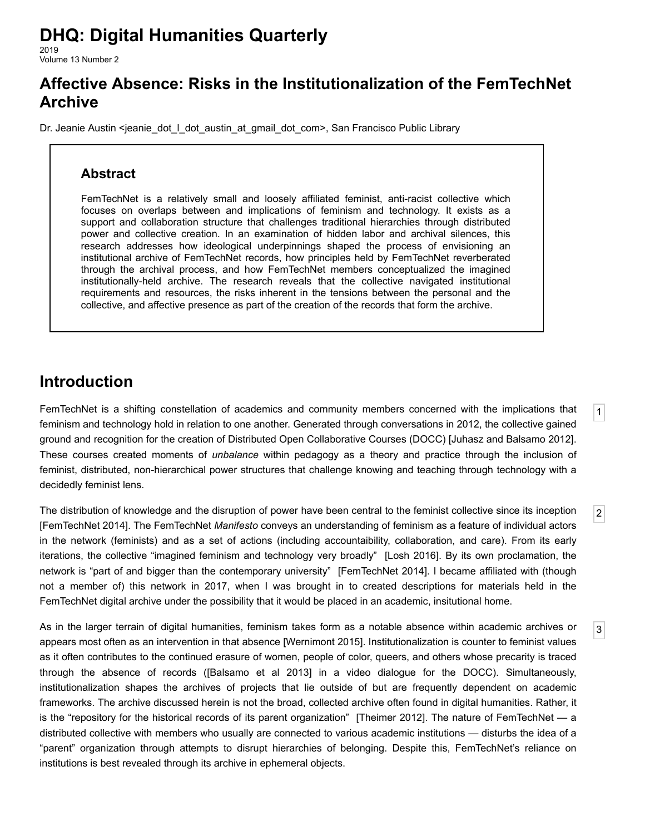# **DHQ: Digital Humanities Quarterly**

2019 Volume 13 Number 2

## **Affective Absence: Risks in the Institutionalization of the FemTechNet Archive**

[Dr. Jeanie Austin](http://www.digitalhumanities.org/dhq/vol/13/2/bios.html#austin_dr._jeanie) <jeanie dot I dot austin at gmail dot com>, San Francisco Public Library

## **Abstract**

FemTechNet is a relatively small and loosely affiliated feminist, anti-racist collective which focuses on overlaps between and implications of feminism and technology. It exists as a support and collaboration structure that challenges traditional hierarchies through distributed power and collective creation. In an examination of hidden labor and archival silences, this research addresses how ideological underpinnings shaped the process of envisioning an institutional archive of FemTechNet records, how principles held by FemTechNet reverberated through the archival process, and how FemTechNet members conceptualized the imagined institutionally-held archive. The research reveals that the collective navigated institutional requirements and resources, the risks inherent in the tensions between the personal and the collective, and affective presence as part of the creation of the records that form the archive.

## **Introduction**

<span id="page-0-0"></span>FemTechNet is a shifting constellation of academics and community members concerned with the implications that feminism and technology hold in relation to one another. Generated through conversations in 2012, the collective gained ground and recognition for the creation of Distributed Open Collaborative Courses (DOCC) [[Juhasz and Balsamo 2012](#page-11-0)]. These courses created moments of *unbalance* within pedagogy as a theory and practice through the inclusion of feminist, distributed, non-hierarchical power structures that challenge knowing and teaching through technology with a decidedly feminist lens.

[1](#page-0-0)

[2](#page-0-1)

[3](#page-0-2)

<span id="page-0-1"></span>The distribution of knowledge and the disruption of power have been central to the feminist collective since its inception [\[FemTechNet 2014\]](#page-11-1). The FemTechNet *Manifesto* conveys an understanding of feminism as a feature of individual actors in the network (feminists) and as a set of actions (including accountaibility, collaboration, and care). From its early iterations, the collective "imagined feminism and technology very broadly" [\[Losh 2016](#page-11-2)]. By its own proclamation, the network is "part of and bigger than the contemporary university" [[FemTechNet 2014\]](#page-11-1). I became affiliated with (though not a member of) this network in 2017, when I was brought in to created descriptions for materials held in the FemTechNet digital archive under the possibility that it would be placed in an academic, insitutional home.

<span id="page-0-2"></span>As in the larger terrain of digital humanities, feminism takes form as a notable absence within academic archives or appears most often as an intervention in that absence [[Wernimont 2015\]](#page-11-3). Institutionalization is counter to feminist values as it often contributes to the continued erasure of women, people of color, queers, and others whose precarity is traced through the absence of records ([\[Balsamo et al 2013](#page-10-0)] in a video dialogue for the DOCC). Simultaneously, institutionalization shapes the archives of projects that lie outside of but are frequently dependent on academic frameworks. The archive discussed herein is not the broad, collected archive often found in digital humanities. Rather, it is the "repository for the historical records of its parent organization" [[Theimer 2012\]](#page-11-4). The nature of FemTechNet — a distributed collective with members who usually are connected to various academic institutions — disturbs the idea of a "parent" organization through attempts to disrupt hierarchies of belonging. Despite this, FemTechNet's reliance on institutions is best revealed through its archive in ephemeral objects.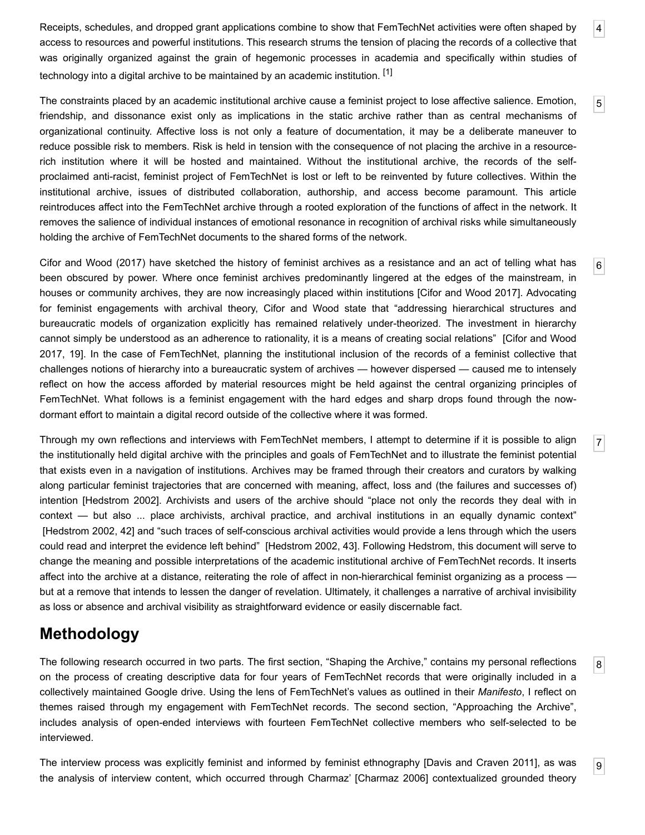<span id="page-1-0"></span>Receipts, schedules, and dropped grant applications combine to show that FemTechNet activities were often shaped by access to resources and powerful institutions. This research strums the tension of placing the records of a collective that was originally organized against the grain of hegemonic processes in academia and specifically within studies of technology into a digital archive to be maintained by an academic institution. [\[1\]](#page-10-1)

<span id="page-1-1"></span>The constraints placed by an academic institutional archive cause a feminist project to lose affective salience. Emotion, friendship, and dissonance exist only as implications in the static archive rather than as central mechanisms of organizational continuity. Affective loss is not only a feature of documentation, it may be a deliberate maneuver to reduce possible risk to members. Risk is held in tension with the consequence of not placing the archive in a resourcerich institution where it will be hosted and maintained. Without the institutional archive, the records of the selfproclaimed anti-racist, feminist project of FemTechNet is lost or left to be reinvented by future collectives. Within the institutional archive, issues of distributed collaboration, authorship, and access become paramount. This article reintroduces affect into the FemTechNet archive through a rooted exploration of the functions of affect in the network. It removes the salience of individual instances of emotional resonance in recognition of archival risks while simultaneously holding the archive of FemTechNet documents to the shared forms of the network.

<span id="page-1-2"></span>Cifor and Wood (2017) have sketched the history of feminist archives as a resistance and an act of telling what has been obscured by power. Where once feminist archives predominantly lingered at the edges of the mainstream, in houses or community archives, they are now increasingly placed within institutions [\[Cifor and Wood 2017](#page-10-2)]. Advocating for feminist engagements with archival theory, Cifor and Wood state that "addressing hierarchical structures and bureaucratic models of organization explicitly has remained relatively under-theorized. The investment in hierarchy [cannot simply be understood as an adherence to rationality, it is a means of creating social relations" \[Cifor and Wood](#page-10-2) 2017, 19]. In the case of FemTechNet, planning the institutional inclusion of the records of a feminist collective that challenges notions of hierarchy into a bureaucratic system of archives — however dispersed — caused me to intensely reflect on how the access afforded by material resources might be held against the central organizing principles of FemTechNet. What follows is a feminist engagement with the hard edges and sharp drops found through the nowdormant effort to maintain a digital record outside of the collective where it was formed.

<span id="page-1-3"></span>Through my own reflections and interviews with FemTechNet members, I attempt to determine if it is possible to align the institutionally held digital archive with the principles and goals of FemTechNet and to illustrate the feminist potential that exists even in a navigation of institutions. Archives may be framed through their creators and curators by walking along particular feminist trajectories that are concerned with meaning, affect, loss and (the failures and successes of) intention [\[Hedstrom 2002](#page-11-5)]. Archivists and users of the archive should "place not only the records they deal with in context — but also ... place archivists, archival practice, and archival institutions in an equally dynamic context" [\[Hedstrom 2002,](#page-11-5) 42] and "such traces of self-conscious archival activities would provide a lens through which the users could read and interpret the evidence left behind" [[Hedstrom 2002](#page-11-5), 43]. Following Hedstrom, this document will serve to change the meaning and possible interpretations of the academic institutional archive of FemTechNet records. It inserts affect into the archive at a distance, reiterating the role of affect in non-hierarchical feminist organizing as a process but at a remove that intends to lessen the danger of revelation. Ultimately, it challenges a narrative of archival invisibility as loss or absence and archival visibility as straightforward evidence or easily discernable fact.

## **Methodology**

<span id="page-1-4"></span>The following research occurred in two parts. The first section, "Shaping the Archive," contains my personal reflections on the process of creating descriptive data for four years of FemTechNet records that were originally included in a collectively maintained Google drive. Using the lens of FemTechNet's values as outlined in their *Manifesto*, I reflect on themes raised through my engagement with FemTechNet records. The second section, "Approaching the Archive", includes analysis of open-ended interviews with fourteen FemTechNet collective members who self-selected to be interviewed.

<span id="page-1-5"></span>The interview process was explicitly feminist and informed by feminist ethnography [\[Davis and Craven 2011\]](#page-11-6), as was the analysis of interview content, which occurred through Charmaz' [[Charmaz 2006](#page-10-3)] contextualized grounded theory

[9](#page-1-5)

[8](#page-1-4)

[4](#page-1-0)

[5](#page-1-1)

[6](#page-1-2)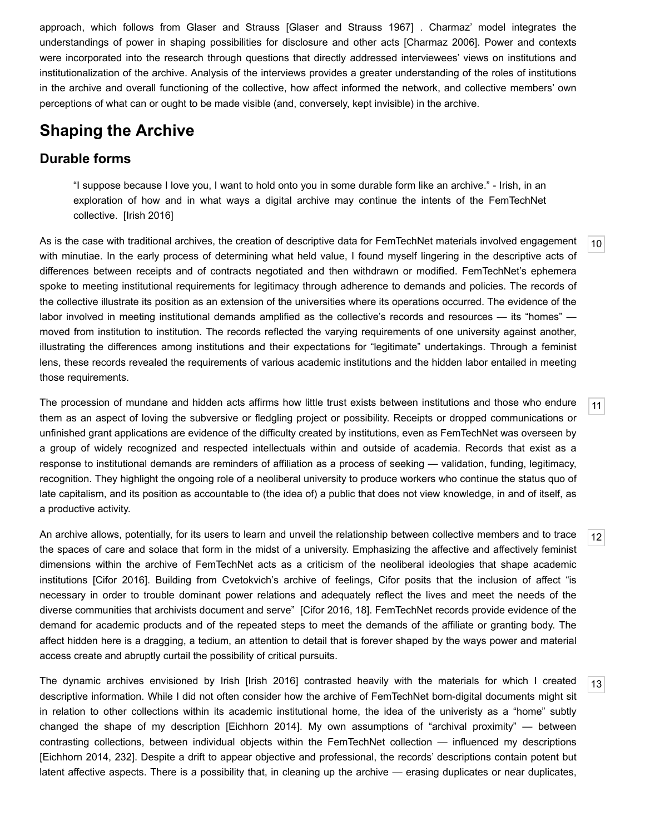approach, which follows from Glaser and Strauss [\[Glaser and Strauss 1967](#page-11-7)] . Charmaz' model integrates the understandings of power in shaping possibilities for disclosure and other acts [\[Charmaz 2006\]](#page-10-3). Power and contexts were incorporated into the research through questions that directly addressed interviewees' views on institutions and institutionalization of the archive. Analysis of the interviews provides a greater understanding of the roles of institutions in the archive and overall functioning of the collective, how affect informed the network, and collective members' own perceptions of what can or ought to be made visible (and, conversely, kept invisible) in the archive.

## **Shaping the Archive**

### **Durable forms**

"I suppose because I love you, I want to hold onto you in some durable form like an archive." - Irish, in an exploration of how and in what ways a digital archive may continue the intents of the FemTechNet collective. [[Irish 2016](#page-11-8)]

<span id="page-2-0"></span>As is the case with traditional archives, the creation of descriptive data for FemTechNet materials involved engagement with minutiae. In the early process of determining what held value, I found myself lingering in the descriptive acts of differences between receipts and of contracts negotiated and then withdrawn or modified. FemTechNet's ephemera spoke to meeting institutional requirements for legitimacy through adherence to demands and policies. The records of the collective illustrate its position as an extension of the universities where its operations occurred. The evidence of the labor involved in meeting institutional demands amplified as the collective's records and resources — its "homes" moved from institution to institution. The records reflected the varying requirements of one university against another, illustrating the differences among institutions and their expectations for "legitimate" undertakings. Through a feminist lens, these records revealed the requirements of various academic institutions and the hidden labor entailed in meeting those requirements.

<span id="page-2-1"></span>The procession of mundane and hidden acts affirms how little trust exists between institutions and those who endure them as an aspect of loving the subversive or fledgling project or possibility. Receipts or dropped communications or unfinished grant applications are evidence of the difficulty created by institutions, even as FemTechNet was overseen by a group of widely recognized and respected intellectuals within and outside of academia. Records that exist as a response to institutional demands are reminders of affiliation as a process of seeking — validation, funding, legitimacy, recognition. They highlight the ongoing role of a neoliberal university to produce workers who continue the status quo of late capitalism, and its position as accountable to (the idea of) a public that does not view knowledge, in and of itself, as a productive activity.

<span id="page-2-2"></span>An archive allows, potentially, for its users to learn and unveil the relationship between collective members and to trace the spaces of care and solace that form in the midst of a university. Emphasizing the affective and affectively feminist dimensions within the archive of FemTechNet acts as a criticism of the neoliberal ideologies that shape academic institutions [[Cifor 2016](#page-10-4)]. Building from Cvetokvich's archive of feelings, Cifor posits that the inclusion of affect "is necessary in order to trouble dominant power relations and adequately reflect the lives and meet the needs of the diverse communities that archivists document and serve" [[Cifor 2016](#page-10-4), 18]. FemTechNet records provide evidence of the demand for academic products and of the repeated steps to meet the demands of the affiliate or granting body. The affect hidden here is a dragging, a tedium, an attention to detail that is forever shaped by the ways power and material access create and abruptly curtail the possibility of critical pursuits.

<span id="page-2-3"></span>The dynamic archives envisioned by Irish [[Irish 2016\]](#page-11-8) contrasted heavily with the materials for which I created descriptive information. While I did not often consider how the archive of FemTechNet born-digital documents might sit in relation to other collections within its academic institutional home, the idea of the univeristy as a "home" subtly changed the shape of my description [\[Eichhorn 2014\]](#page-11-9). My own assumptions of "archival proximity" — between contrasting collections, between individual objects within the FemTechNet collection — influenced my descriptions [\[Eichhorn 2014](#page-11-9), 232]. Despite a drift to appear objective and professional, the records' descriptions contain potent but latent affective aspects. There is a possibility that, in cleaning up the archive — erasing duplicates or near duplicates,

[12](#page-2-2)

[13](#page-2-3)

[11](#page-2-1)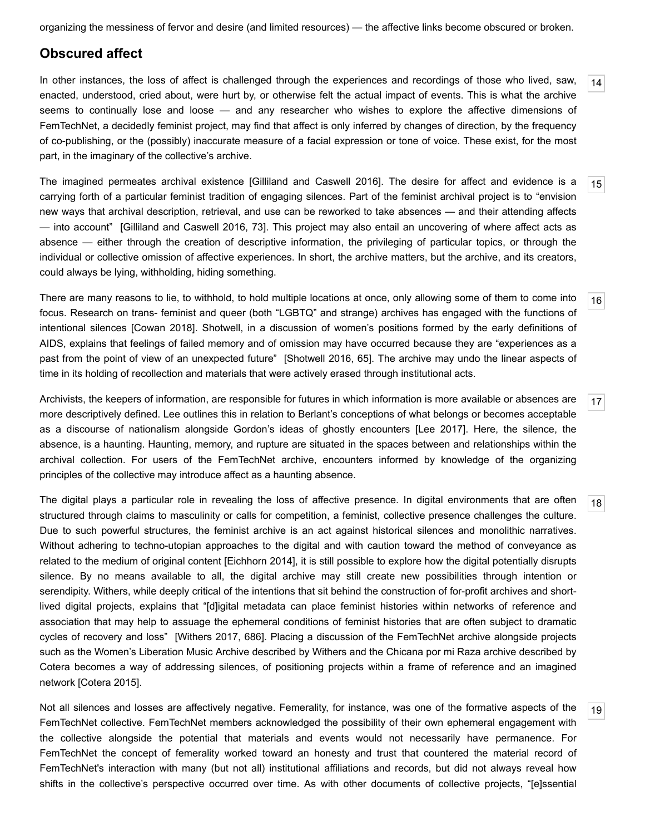organizing the messiness of fervor and desire (and limited resources) — the affective links become obscured or broken.

### **Obscured affect**

<span id="page-3-0"></span>In other instances, the loss of affect is challenged through the experiences and recordings of those who lived, saw, enacted, understood, cried about, were hurt by, or otherwise felt the actual impact of events. This is what the archive seems to continually lose and loose — and any researcher who wishes to explore the affective dimensions of FemTechNet, a decidedly feminist project, may find that affect is only inferred by changes of direction, by the frequency of co-publishing, or the (possibly) inaccurate measure of a facial expression or tone of voice. These exist, for the most part, in the imaginary of the collective's archive.

[14](#page-3-0)

[15](#page-3-1)

[16](#page-3-2)

[17](#page-3-3)

[18](#page-3-4)

[19](#page-3-5)

<span id="page-3-1"></span>The imagined permeates archival existence [\[Gilliland and Caswell 2016](#page-11-10)]. The desire for affect and evidence is a carrying forth of a particular feminist tradition of engaging silences. Part of the feminist archival project is to "envision new ways that archival description, retrieval, and use can be reworked to take absences — and their attending affects — into account" [[Gilliland and Caswell 2016,](#page-11-10) 73]. This project may also entail an uncovering of where affect acts as absence — either through the creation of descriptive information, the privileging of particular topics, or through the individual or collective omission of affective experiences. In short, the archive matters, but the archive, and its creators, could always be lying, withholding, hiding something.

<span id="page-3-2"></span>There are many reasons to lie, to withhold, to hold multiple locations at once, only allowing some of them to come into focus. Research on trans- feminist and queer (both "LGBTQ" and strange) archives has engaged with the functions of intentional silences [\[Cowan 2018\]](#page-10-5). Shotwell, in a discussion of women's positions formed by the early definitions of AIDS, explains that feelings of failed memory and of omission may have occurred because they are "experiences as a past from the point of view of an unexpected future" [\[Shotwell 2016](#page-11-11), 65]. The archive may undo the linear aspects of time in its holding of recollection and materials that were actively erased through institutional acts.

<span id="page-3-3"></span>Archivists, the keepers of information, are responsible for futures in which information is more available or absences are more descriptively defined. Lee outlines this in relation to Berlant's conceptions of what belongs or becomes acceptable as a discourse of nationalism alongside Gordon's ideas of ghostly encounters [\[Lee 2017](#page-11-12)]. Here, the silence, the absence, is a haunting. Haunting, memory, and rupture are situated in the spaces between and relationships within the archival collection. For users of the FemTechNet archive, encounters informed by knowledge of the organizing principles of the collective may introduce affect as a haunting absence.

<span id="page-3-4"></span>The digital plays a particular role in revealing the loss of affective presence. In digital environments that are often structured through claims to masculinity or calls for competition, a feminist, collective presence challenges the culture. Due to such powerful structures, the feminist archive is an act against historical silences and monolithic narratives. Without adhering to techno-utopian approaches to the digital and with caution toward the method of conveyance as related to the medium of original content [[Eichhorn 2014\]](#page-11-9), it is still possible to explore how the digital potentially disrupts silence. By no means available to all, the digital archive may still create new possibilities through intention or serendipity. Withers, while deeply critical of the intentions that sit behind the construction of for-profit archives and shortlived digital projects, explains that "[d]igital metadata can place feminist histories within networks of reference and association that may help to assuage the ephemeral conditions of feminist histories that are often subject to dramatic cycles of recovery and loss" [[Withers 2017](#page-11-13), 686]. Placing a discussion of the FemTechNet archive alongside projects such as the Women's Liberation Music Archive described by Withers and the Chicana por mi Raza archive described by Cotera becomes a way of addressing silences, of positioning projects within a frame of reference and an imagined network [[Cotera 2015\]](#page-10-6).

<span id="page-3-5"></span>Not all silences and losses are affectively negative. Femerality, for instance, was one of the formative aspects of the FemTechNet collective. FemTechNet members acknowledged the possibility of their own ephemeral engagement with the collective alongside the potential that materials and events would not necessarily have permanence. For FemTechNet the concept of femerality worked toward an honesty and trust that countered the material record of FemTechNet's interaction with many (but not all) institutional affiliations and records, but did not always reveal how shifts in the collective's perspective occurred over time. As with other documents of collective projects, "[e]ssential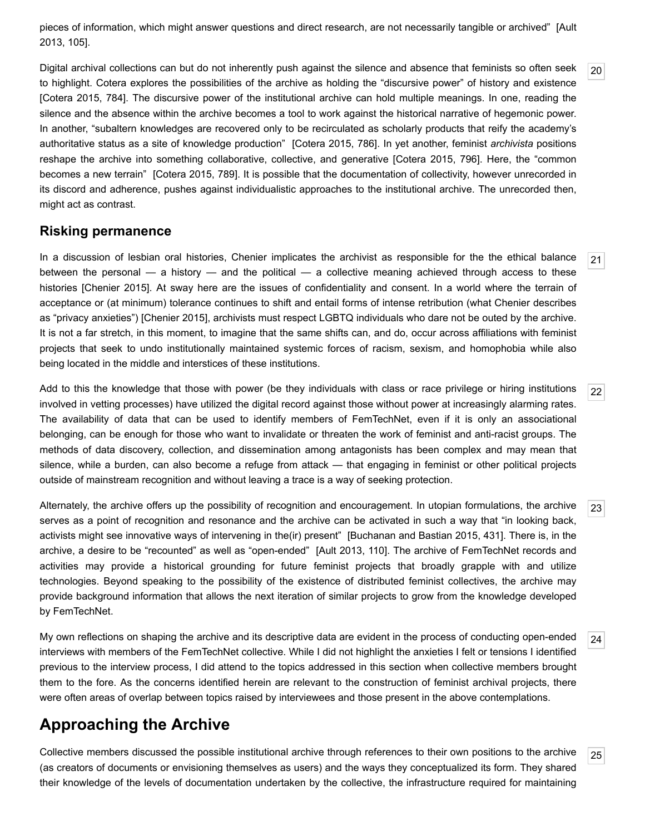[pieces of information, which might answer questions and direct research, are not necessarily tangible or archived" \[Ault](#page-10-7) 2013, 105].

<span id="page-4-0"></span>Digital archival collections can but do not inherently push against the silence and absence that feminists so often seek to highlight. Cotera explores the possibilities of the archive as holding the "discursive power" of history and existence [\[Cotera 2015](#page-10-6), 784]. The discursive power of the institutional archive can hold multiple meanings. In one, reading the silence and the absence within the archive becomes a tool to work against the historical narrative of hegemonic power. In another, "subaltern knowledges are recovered only to be recirculated as scholarly products that reify the academy's authoritative status as a site of knowledge production" [\[Cotera 2015,](#page-10-6) 786]. In yet another, feminist *archivista* positions reshape the archive into something collaborative, collective, and generative [[Cotera 2015](#page-10-6), 796]. Here, the "common becomes a new terrain" [[Cotera 2015](#page-10-6), 789]. It is possible that the documentation of collectivity, however unrecorded in its discord and adherence, pushes against individualistic approaches to the institutional archive. The unrecorded then, might act as contrast.

#### **Risking permanence**

<span id="page-4-1"></span>In a discussion of lesbian oral histories, Chenier implicates the archivist as responsible for the the ethical balance between the personal — a history — and the political — a collective meaning achieved through access to these histories [\[Chenier 2015](#page-10-8)]. At sway here are the issues of confidentiality and consent. In a world where the terrain of acceptance or (at minimum) tolerance continues to shift and entail forms of intense retribution (what Chenier describes as "privacy anxieties") [[Chenier 2015](#page-10-8)], archivists must respect LGBTQ individuals who dare not be outed by the archive. It is not a far stretch, in this moment, to imagine that the same shifts can, and do, occur across affiliations with feminist projects that seek to undo institutionally maintained systemic forces of racism, sexism, and homophobia while also being located in the middle and interstices of these institutions.

<span id="page-4-2"></span>Add to this the knowledge that those with power (be they individuals with class or race privilege or hiring institutions involved in vetting processes) have utilized the digital record against those without power at increasingly alarming rates. The availability of data that can be used to identify members of FemTechNet, even if it is only an associational belonging, can be enough for those who want to invalidate or threaten the work of feminist and anti-racist groups. The methods of data discovery, collection, and dissemination among antagonists has been complex and may mean that silence, while a burden, can also become a refuge from attack — that engaging in feminist or other political projects outside of mainstream recognition and without leaving a trace is a way of seeking protection.

<span id="page-4-3"></span>Alternately, the archive offers up the possibility of recognition and encouragement. In utopian formulations, the archive serves as a point of recognition and resonance and the archive can be activated in such a way that "in looking back, activists might see innovative ways of intervening in the(ir) present" [[Buchanan and Bastian 2015,](#page-10-9) 431]. There is, in the archive, a desire to be "recounted" as well as "open-ended" [[Ault 2013,](#page-10-7) 110]. The archive of FemTechNet records and activities may provide a historical grounding for future feminist projects that broadly grapple with and utilize technologies. Beyond speaking to the possibility of the existence of distributed feminist collectives, the archive may provide background information that allows the next iteration of similar projects to grow from the knowledge developed by FemTechNet.

<span id="page-4-4"></span>My own reflections on shaping the archive and its descriptive data are evident in the process of conducting open-ended interviews with members of the FemTechNet collective. While I did not highlight the anxieties I felt or tensions I identified previous to the interview process, I did attend to the topics addressed in this section when collective members brought them to the fore. As the concerns identified herein are relevant to the construction of feminist archival projects, there were often areas of overlap between topics raised by interviewees and those present in the above contemplations.

## **Approaching the Archive**

<span id="page-4-5"></span>[25](#page-4-5) Collective members discussed the possible institutional archive through references to their own positions to the archive (as creators of documents or envisioning themselves as users) and the ways they conceptualized its form. They shared their knowledge of the levels of documentation undertaken by the collective, the infrastructure required for maintaining

[21](#page-4-1)

[22](#page-4-2)

[23](#page-4-3)

[24](#page-4-4)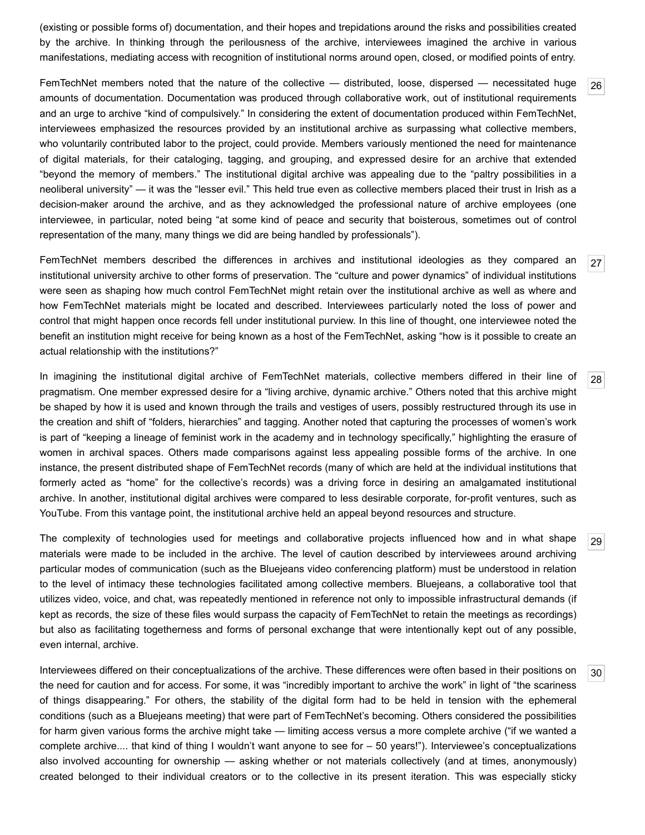(existing or possible forms of) documentation, and their hopes and trepidations around the risks and possibilities created by the archive. In thinking through the perilousness of the archive, interviewees imagined the archive in various manifestations, mediating access with recognition of institutional norms around open, closed, or modified points of entry.

[26](#page-5-0)

[27](#page-5-1)

[28](#page-5-2)

[29](#page-5-3)

[30](#page-5-4)

<span id="page-5-0"></span>FemTechNet members noted that the nature of the collective — distributed, loose, dispersed — necessitated huge amounts of documentation. Documentation was produced through collaborative work, out of institutional requirements and an urge to archive "kind of compulsively." In considering the extent of documentation produced within FemTechNet, interviewees emphasized the resources provided by an institutional archive as surpassing what collective members, who voluntarily contributed labor to the project, could provide. Members variously mentioned the need for maintenance of digital materials, for their cataloging, tagging, and grouping, and expressed desire for an archive that extended "beyond the memory of members." The institutional digital archive was appealing due to the "paltry possibilities in a neoliberal university" — it was the "lesser evil." This held true even as collective members placed their trust in Irish as a decision-maker around the archive, and as they acknowledged the professional nature of archive employees (one interviewee, in particular, noted being "at some kind of peace and security that boisterous, sometimes out of control representation of the many, many things we did are being handled by professionals").

<span id="page-5-1"></span>FemTechNet members described the differences in archives and institutional ideologies as they compared an institutional university archive to other forms of preservation. The "culture and power dynamics" of individual institutions were seen as shaping how much control FemTechNet might retain over the institutional archive as well as where and how FemTechNet materials might be located and described. Interviewees particularly noted the loss of power and control that might happen once records fell under institutional purview. In this line of thought, one interviewee noted the benefit an institution might receive for being known as a host of the FemTechNet, asking "how is it possible to create an actual relationship with the institutions?"

<span id="page-5-2"></span>In imagining the institutional digital archive of FemTechNet materials, collective members differed in their line of pragmatism. One member expressed desire for a "living archive, dynamic archive." Others noted that this archive might be shaped by how it is used and known through the trails and vestiges of users, possibly restructured through its use in the creation and shift of "folders, hierarchies" and tagging. Another noted that capturing the processes of women's work is part of "keeping a lineage of feminist work in the academy and in technology specifically," highlighting the erasure of women in archival spaces. Others made comparisons against less appealing possible forms of the archive. In one instance, the present distributed shape of FemTechNet records (many of which are held at the individual institutions that formerly acted as "home" for the collective's records) was a driving force in desiring an amalgamated institutional archive. In another, institutional digital archives were compared to less desirable corporate, for-profit ventures, such as YouTube. From this vantage point, the institutional archive held an appeal beyond resources and structure.

<span id="page-5-3"></span>The complexity of technologies used for meetings and collaborative projects influenced how and in what shape materials were made to be included in the archive. The level of caution described by interviewees around archiving particular modes of communication (such as the Bluejeans video conferencing platform) must be understood in relation to the level of intimacy these technologies facilitated among collective members. Bluejeans, a collaborative tool that utilizes video, voice, and chat, was repeatedly mentioned in reference not only to impossible infrastructural demands (if kept as records, the size of these files would surpass the capacity of FemTechNet to retain the meetings as recordings) but also as facilitating togetherness and forms of personal exchange that were intentionally kept out of any possible, even internal, archive.

<span id="page-5-4"></span>Interviewees differed on their conceptualizations of the archive. These differences were often based in their positions on the need for caution and for access. For some, it was "incredibly important to archive the work" in light of "the scariness of things disappearing." For others, the stability of the digital form had to be held in tension with the ephemeral conditions (such as a Bluejeans meeting) that were part of FemTechNet's becoming. Others considered the possibilities for harm given various forms the archive might take — limiting access versus a more complete archive ("if we wanted a complete archive.... that kind of thing I wouldn't want anyone to see for – 50 years!"). Interviewee's conceptualizations also involved accounting for ownership — asking whether or not materials collectively (and at times, anonymously) created belonged to their individual creators or to the collective in its present iteration. This was especially sticky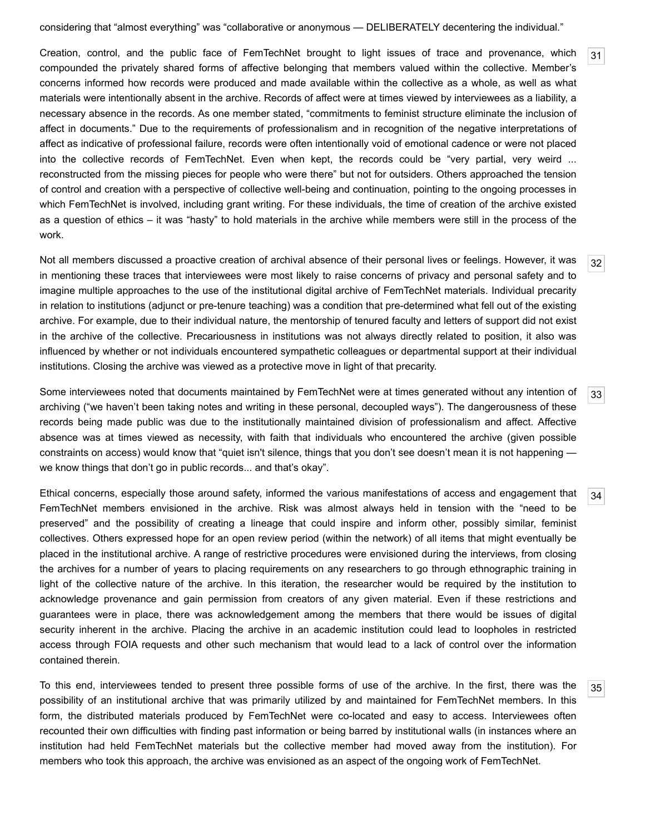considering that "almost everything" was "collaborative or anonymous — DELIBERATELY decentering the individual."

<span id="page-6-0"></span>Creation, control, and the public face of FemTechNet brought to light issues of trace and provenance, which compounded the privately shared forms of affective belonging that members valued within the collective. Member's concerns informed how records were produced and made available within the collective as a whole, as well as what materials were intentionally absent in the archive. Records of affect were at times viewed by interviewees as a liability, a necessary absence in the records. As one member stated, "commitments to feminist structure eliminate the inclusion of affect in documents." Due to the requirements of professionalism and in recognition of the negative interpretations of affect as indicative of professional failure, records were often intentionally void of emotional cadence or were not placed into the collective records of FemTechNet. Even when kept, the records could be "very partial, very weird ... reconstructed from the missing pieces for people who were there" but not for outsiders. Others approached the tension of control and creation with a perspective of collective well-being and continuation, pointing to the ongoing processes in which FemTechNet is involved, including grant writing. For these individuals, the time of creation of the archive existed as a question of ethics – it was "hasty" to hold materials in the archive while members were still in the process of the work.

<span id="page-6-1"></span>Not all members discussed a proactive creation of archival absence of their personal lives or feelings. However, it was in mentioning these traces that interviewees were most likely to raise concerns of privacy and personal safety and to imagine multiple approaches to the use of the institutional digital archive of FemTechNet materials. Individual precarity in relation to institutions (adjunct or pre-tenure teaching) was a condition that pre-determined what fell out of the existing archive. For example, due to their individual nature, the mentorship of tenured faculty and letters of support did not exist in the archive of the collective. Precariousness in institutions was not always directly related to position, it also was influenced by whether or not individuals encountered sympathetic colleagues or departmental support at their individual institutions. Closing the archive was viewed as a protective move in light of that precarity.

<span id="page-6-2"></span>Some interviewees noted that documents maintained by FemTechNet were at times generated without any intention of archiving ("we haven't been taking notes and writing in these personal, decoupled ways"). The dangerousness of these records being made public was due to the institutionally maintained division of professionalism and affect. Affective absence was at times viewed as necessity, with faith that individuals who encountered the archive (given possible constraints on access) would know that "quiet isn't silence, things that you don't see doesn't mean it is not happening we know things that don't go in public records... and that's okay".

<span id="page-6-3"></span>[34](#page-6-3) Ethical concerns, especially those around safety, informed the various manifestations of access and engagement that FemTechNet members envisioned in the archive. Risk was almost always held in tension with the "need to be preserved" and the possibility of creating a lineage that could inspire and inform other, possibly similar, feminist collectives. Others expressed hope for an open review period (within the network) of all items that might eventually be placed in the institutional archive. A range of restrictive procedures were envisioned during the interviews, from closing the archives for a number of years to placing requirements on any researchers to go through ethnographic training in light of the collective nature of the archive. In this iteration, the researcher would be required by the institution to acknowledge provenance and gain permission from creators of any given material. Even if these restrictions and guarantees were in place, there was acknowledgement among the members that there would be issues of digital security inherent in the archive. Placing the archive in an academic institution could lead to loopholes in restricted access through FOIA requests and other such mechanism that would lead to a lack of control over the information contained therein.

<span id="page-6-4"></span>To this end, interviewees tended to present three possible forms of use of the archive. In the first, there was the possibility of an institutional archive that was primarily utilized by and maintained for FemTechNet members. In this form, the distributed materials produced by FemTechNet were co-located and easy to access. Interviewees often recounted their own difficulties with finding past information or being barred by institutional walls (in instances where an institution had held FemTechNet materials but the collective member had moved away from the institution). For members who took this approach, the archive was envisioned as an aspect of the ongoing work of FemTechNet.

[32](#page-6-1)

[33](#page-6-2)

[35](#page-6-4)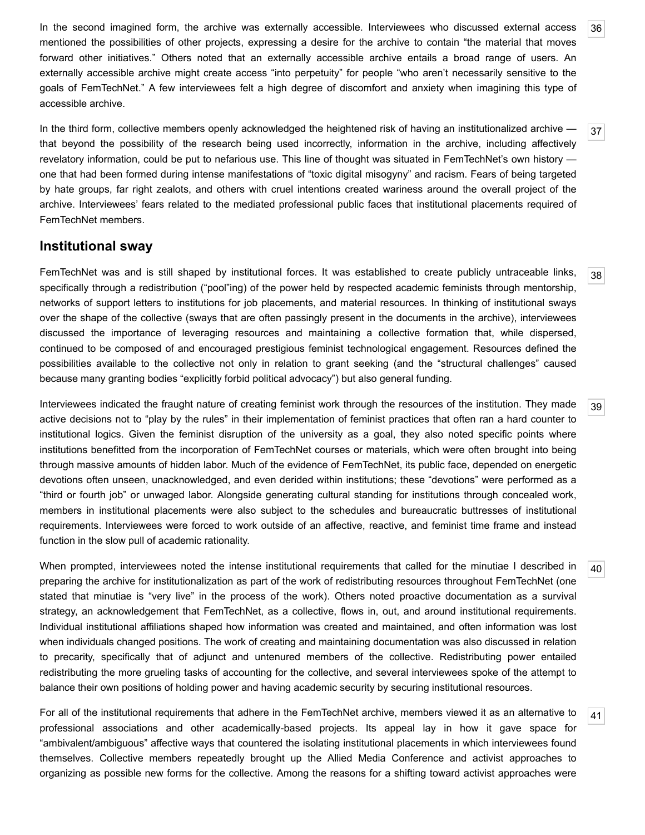<span id="page-7-4"></span>In the second imagined form, the archive was externally accessible. Interviewees who discussed external access mentioned the possibilities of other projects, expressing a desire for the archive to contain "the material that moves forward other initiatives." Others noted that an externally accessible archive entails a broad range of users. An externally accessible archive might create access "into perpetuity" for people "who aren't necessarily sensitive to the goals of FemTechNet." A few interviewees felt a high degree of discomfort and anxiety when imagining this type of accessible archive.

<span id="page-7-5"></span>In the third form, collective members openly acknowledged the heightened risk of having an institutionalized archive that beyond the possibility of the research being used incorrectly, information in the archive, including affectively revelatory information, could be put to nefarious use. This line of thought was situated in FemTechNet's own history one that had been formed during intense manifestations of "toxic digital misogyny" and racism. Fears of being targeted by hate groups, far right zealots, and others with cruel intentions created wariness around the overall project of the archive. Interviewees' fears related to the mediated professional public faces that institutional placements required of FemTechNet members.

### **Institutional sway**

<span id="page-7-0"></span>FemTechNet was and is still shaped by institutional forces. It was established to create publicly untraceable links, specifically through a redistribution ("pool"ing) of the power held by respected academic feminists through mentorship, networks of support letters to institutions for job placements, and material resources. In thinking of institutional sways over the shape of the collective (sways that are often passingly present in the documents in the archive), interviewees discussed the importance of leveraging resources and maintaining a collective formation that, while dispersed, continued to be composed of and encouraged prestigious feminist technological engagement. Resources defined the possibilities available to the collective not only in relation to grant seeking (and the "structural challenges" caused because many granting bodies "explicitly forbid political advocacy") but also general funding.

<span id="page-7-1"></span>Interviewees indicated the fraught nature of creating feminist work through the resources of the institution. They made active decisions not to "play by the rules" in their implementation of feminist practices that often ran a hard counter to institutional logics. Given the feminist disruption of the university as a goal, they also noted specific points where institutions benefitted from the incorporation of FemTechNet courses or materials, which were often brought into being through massive amounts of hidden labor. Much of the evidence of FemTechNet, its public face, depended on energetic devotions often unseen, unacknowledged, and even derided within institutions; these "devotions" were performed as a "third or fourth job" or unwaged labor. Alongside generating cultural standing for institutions through concealed work, members in institutional placements were also subject to the schedules and bureaucratic buttresses of institutional requirements. Interviewees were forced to work outside of an affective, reactive, and feminist time frame and instead function in the slow pull of academic rationality.

<span id="page-7-2"></span>When prompted, interviewees noted the intense institutional requirements that called for the minutiae I described in preparing the archive for institutionalization as part of the work of redistributing resources throughout FemTechNet (one stated that minutiae is "very live" in the process of the work). Others noted proactive documentation as a survival strategy, an acknowledgement that FemTechNet, as a collective, flows in, out, and around institutional requirements. Individual institutional affiliations shaped how information was created and maintained, and often information was lost when individuals changed positions. The work of creating and maintaining documentation was also discussed in relation to precarity, specifically that of adjunct and untenured members of the collective. Redistributing power entailed redistributing the more grueling tasks of accounting for the collective, and several interviewees spoke of the attempt to balance their own positions of holding power and having academic security by securing institutional resources.

<span id="page-7-3"></span>For all of the institutional requirements that adhere in the FemTechNet archive, members viewed it as an alternative to professional associations and other academically-based projects. Its appeal lay in how it gave space for "ambivalent/ambiguous" affective ways that countered the isolating institutional placements in which interviewees found themselves. Collective members repeatedly brought up the Allied Media Conference and activist approaches to organizing as possible new forms for the collective. Among the reasons for a shifting toward activist approaches were

[36](#page-7-4)

[37](#page-7-5)

[38](#page-7-0)

[39](#page-7-1)

[40](#page-7-2)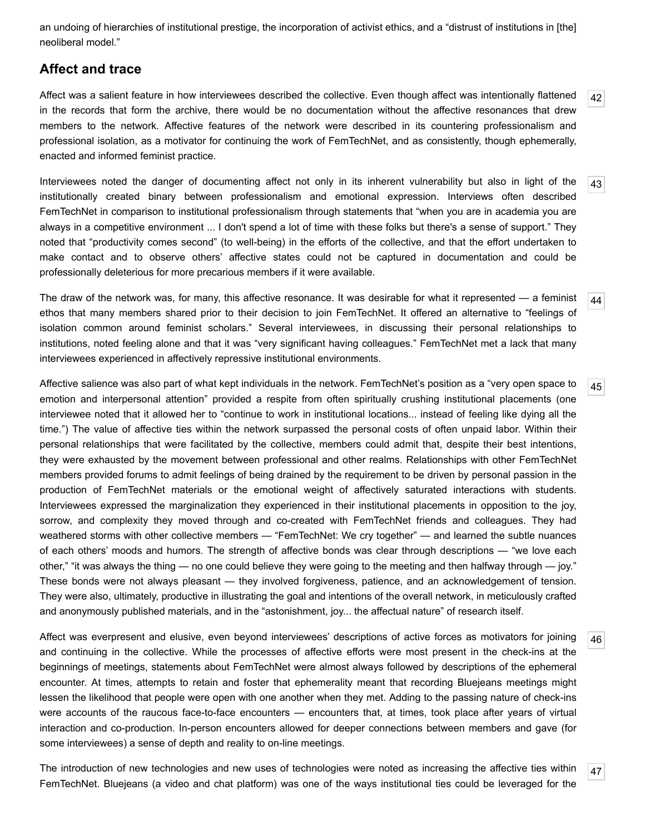an undoing of hierarchies of institutional prestige, the incorporation of activist ethics, and a "distrust of institutions in [the] neoliberal model."

### **Affect and trace**

<span id="page-8-0"></span>[42](#page-8-0) Affect was a salient feature in how interviewees described the collective. Even though affect was intentionally flattened in the records that form the archive, there would be no documentation without the affective resonances that drew members to the network. Affective features of the network were described in its countering professionalism and professional isolation, as a motivator for continuing the work of FemTechNet, and as consistently, though ephemerally, enacted and informed feminist practice.

<span id="page-8-1"></span>Interviewees noted the danger of documenting affect not only in its inherent vulnerability but also in light of the institutionally created binary between professionalism and emotional expression. Interviews often described FemTechNet in comparison to institutional professionalism through statements that "when you are in academia you are always in a competitive environment ... I don't spend a lot of time with these folks but there's a sense of support." They noted that "productivity comes second" (to well-being) in the efforts of the collective, and that the effort undertaken to make contact and to observe others' affective states could not be captured in documentation and could be professionally deleterious for more precarious members if it were available.

<span id="page-8-2"></span>The draw of the network was, for many, this affective resonance. It was desirable for what it represented — a feminist ethos that many members shared prior to their decision to join FemTechNet. It offered an alternative to "feelings of isolation common around feminist scholars." Several interviewees, in discussing their personal relationships to institutions, noted feeling alone and that it was "very significant having colleagues." FemTechNet met a lack that many interviewees experienced in affectively repressive institutional environments.

<span id="page-8-3"></span>Affective salience was also part of what kept individuals in the network. FemTechNet's position as a "very open space to emotion and interpersonal attention" provided a respite from often spiritually crushing institutional placements (one interviewee noted that it allowed her to "continue to work in institutional locations... instead of feeling like dying all the time.") The value of affective ties within the network surpassed the personal costs of often unpaid labor. Within their personal relationships that were facilitated by the collective, members could admit that, despite their best intentions, they were exhausted by the movement between professional and other realms. Relationships with other FemTechNet members provided forums to admit feelings of being drained by the requirement to be driven by personal passion in the production of FemTechNet materials or the emotional weight of affectively saturated interactions with students. Interviewees expressed the marginalization they experienced in their institutional placements in opposition to the joy, sorrow, and complexity they moved through and co-created with FemTechNet friends and colleagues. They had weathered storms with other collective members — "FemTechNet: We cry together" — and learned the subtle nuances of each others' moods and humors. The strength of affective bonds was clear through descriptions — "we love each other," "it was always the thing — no one could believe they were going to the meeting and then halfway through — joy." These bonds were not always pleasant — they involved forgiveness, patience, and an acknowledgement of tension. They were also, ultimately, productive in illustrating the goal and intentions of the overall network, in meticulously crafted and anonymously published materials, and in the "astonishment, joy... the affectual nature" of research itself.

<span id="page-8-4"></span>Affect was everpresent and elusive, even beyond interviewees' descriptions of active forces as motivators for joining and continuing in the collective. While the processes of affective efforts were most present in the check-ins at the beginnings of meetings, statements about FemTechNet were almost always followed by descriptions of the ephemeral encounter. At times, attempts to retain and foster that ephemerality meant that recording Bluejeans meetings might lessen the likelihood that people were open with one another when they met. Adding to the passing nature of check-ins were accounts of the raucous face-to-face encounters — encounters that, at times, took place after years of virtual interaction and co-production. In-person encounters allowed for deeper connections between members and gave (for some interviewees) a sense of depth and reality to on-line meetings.

<span id="page-8-5"></span>The introduction of new technologies and new uses of technologies were noted as increasing the affective ties within FemTechNet. Bluejeans (a video and chat platform) was one of the ways institutional ties could be leveraged for the

[45](#page-8-3)

[46](#page-8-4)

[47](#page-8-5)

[44](#page-8-2)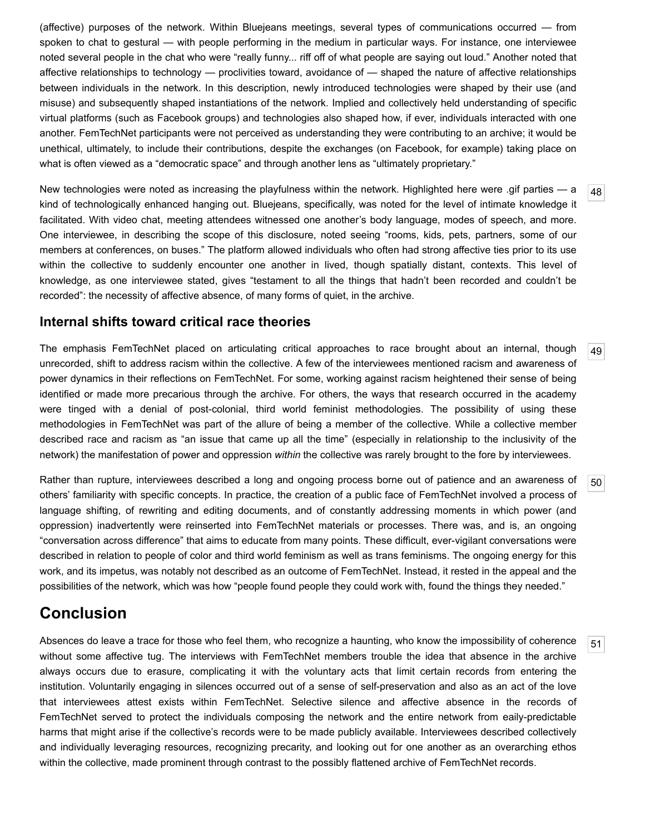(affective) purposes of the network. Within Bluejeans meetings, several types of communications occurred — from spoken to chat to gestural — with people performing in the medium in particular ways. For instance, one interviewee noted several people in the chat who were "really funny... riff off of what people are saying out loud." Another noted that affective relationships to technology — proclivities toward, avoidance of — shaped the nature of affective relationships between individuals in the network. In this description, newly introduced technologies were shaped by their use (and misuse) and subsequently shaped instantiations of the network. Implied and collectively held understanding of specific virtual platforms (such as Facebook groups) and technologies also shaped how, if ever, individuals interacted with one another. FemTechNet participants were not perceived as understanding they were contributing to an archive; it would be unethical, ultimately, to include their contributions, despite the exchanges (on Facebook, for example) taking place on what is often viewed as a "democratic space" and through another lens as "ultimately proprietary."

<span id="page-9-0"></span>New technologies were noted as increasing the playfulness within the network. Highlighted here were .gif parties — a kind of technologically enhanced hanging out. Bluejeans, specifically, was noted for the level of intimate knowledge it facilitated. With video chat, meeting attendees witnessed one another's body language, modes of speech, and more. One interviewee, in describing the scope of this disclosure, noted seeing "rooms, kids, pets, partners, some of our members at conferences, on buses." The platform allowed individuals who often had strong affective ties prior to its use within the collective to suddenly encounter one another in lived, though spatially distant, contexts. This level of knowledge, as one interviewee stated, gives "testament to all the things that hadn't been recorded and couldn't be recorded": the necessity of affective absence, of many forms of quiet, in the archive.

### **Internal shifts toward critical race theories**

<span id="page-9-1"></span>[49](#page-9-1) The emphasis FemTechNet placed on articulating critical approaches to race brought about an internal, though unrecorded, shift to address racism within the collective. A few of the interviewees mentioned racism and awareness of power dynamics in their reflections on FemTechNet. For some, working against racism heightened their sense of being identified or made more precarious through the archive. For others, the ways that research occurred in the academy were tinged with a denial of post-colonial, third world feminist methodologies. The possibility of using these methodologies in FemTechNet was part of the allure of being a member of the collective. While a collective member described race and racism as "an issue that came up all the time" (especially in relationship to the inclusivity of the network) the manifestation of power and oppression *within* the collective was rarely brought to the fore by interviewees.

<span id="page-9-2"></span>Rather than rupture, interviewees described a long and ongoing process borne out of patience and an awareness of others' familiarity with specific concepts. In practice, the creation of a public face of FemTechNet involved a process of language shifting, of rewriting and editing documents, and of constantly addressing moments in which power (and oppression) inadvertently were reinserted into FemTechNet materials or processes. There was, and is, an ongoing "conversation across difference" that aims to educate from many points. These difficult, ever-vigilant conversations were described in relation to people of color and third world feminism as well as trans feminisms. The ongoing energy for this work, and its impetus, was notably not described as an outcome of FemTechNet. Instead, it rested in the appeal and the possibilities of the network, which was how "people found people they could work with, found the things they needed."

## **Conclusion**

<span id="page-9-3"></span>Absences do leave a trace for those who feel them, who recognize a haunting, who know the impossibility of coherence without some affective tug. The interviews with FemTechNet members trouble the idea that absence in the archive always occurs due to erasure, complicating it with the voluntary acts that limit certain records from entering the institution. Voluntarily engaging in silences occurred out of a sense of self-preservation and also as an act of the love that interviewees attest exists within FemTechNet. Selective silence and affective absence in the records of FemTechNet served to protect the individuals composing the network and the entire network from eaily-predictable harms that might arise if the collective's records were to be made publicly available. Interviewees described collectively and individually leveraging resources, recognizing precarity, and looking out for one another as an overarching ethos within the collective, made prominent through contrast to the possibly flattened archive of FemTechNet records.

[48](#page-9-0)

[50](#page-9-2)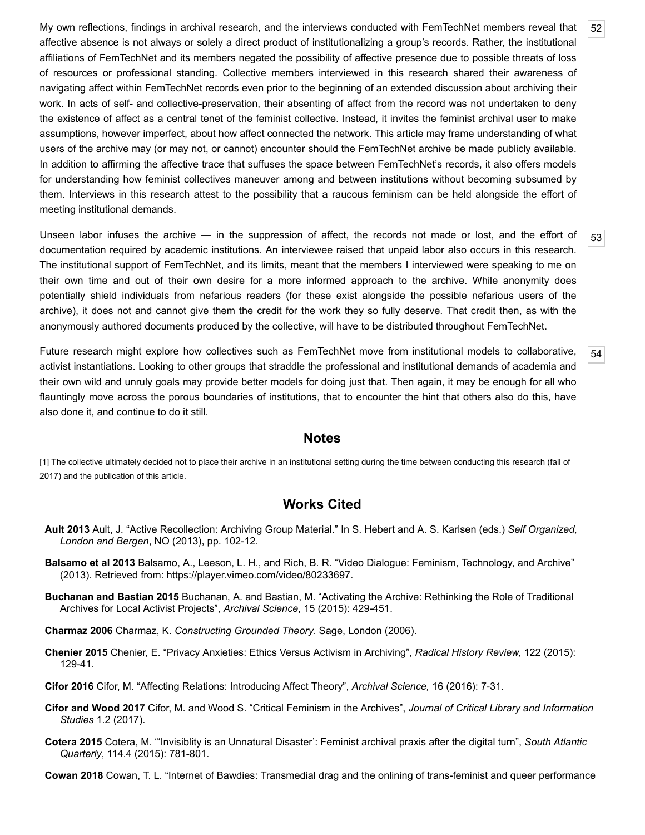<span id="page-10-10"></span>My own reflections, findings in archival research, and the interviews conducted with FemTechNet members reveal that affective absence is not always or solely a direct product of institutionalizing a group's records. Rather, the institutional affiliations of FemTechNet and its members negated the possibility of affective presence due to possible threats of loss of resources or professional standing. Collective members interviewed in this research shared their awareness of navigating affect within FemTechNet records even prior to the beginning of an extended discussion about archiving their work. In acts of self- and collective-preservation, their absenting of affect from the record was not undertaken to deny the existence of affect as a central tenet of the feminist collective. Instead, it invites the feminist archival user to make assumptions, however imperfect, about how affect connected the network. This article may frame understanding of what users of the archive may (or may not, or cannot) encounter should the FemTechNet archive be made publicly available. In addition to affirming the affective trace that suffuses the space between FemTechNet's records, it also offers models for understanding how feminist collectives maneuver among and between institutions without becoming subsumed by them. Interviews in this research attest to the possibility that a raucous feminism can be held alongside the effort of meeting institutional demands.

[52](#page-10-10)

[53](#page-10-11)

[54](#page-10-12)

<span id="page-10-11"></span>Unseen labor infuses the archive — in the suppression of affect, the records not made or lost, and the effort of documentation required by academic institutions. An interviewee raised that unpaid labor also occurs in this research. The institutional support of FemTechNet, and its limits, meant that the members I interviewed were speaking to me on their own time and out of their own desire for a more informed approach to the archive. While anonymity does potentially shield individuals from nefarious readers (for these exist alongside the possible nefarious users of the archive), it does not and cannot give them the credit for the work they so fully deserve. That credit then, as with the anonymously authored documents produced by the collective, will have to be distributed throughout FemTechNet.

<span id="page-10-12"></span>Future research might explore how collectives such as FemTechNet move from institutional models to collaborative, activist instantiations. Looking to other groups that straddle the professional and institutional demands of academia and their own wild and unruly goals may provide better models for doing just that. Then again, it may be enough for all who flauntingly move across the porous boundaries of institutions, that to encounter the hint that others also do this, have also done it, and continue to do it still.

#### **Notes**

<span id="page-10-1"></span>[1] The collective ultimately decided not to place their archive in an institutional setting during the time between conducting this research (fall of 2017) and the publication of this article.

### **Works Cited**

- <span id="page-10-7"></span>**Ault 2013** Ault, J. "Active Recollection: Archiving Group Material." In S. Hebert and A. S. Karlsen (eds.) *Self Organized, London and Bergen*, NO (2013), pp. 102-12.
- <span id="page-10-0"></span>**Balsamo et al 2013** Balsamo, A., Leeson, L. H., and Rich, B. R. "Video Dialogue: Feminism, Technology, and Archive" (2013). Retrieved from: [https://player.vimeo.com/video/80233697.](https://player.vimeo.com/video/80233697)
- <span id="page-10-9"></span>**Buchanan and Bastian 2015** Buchanan, A. and Bastian, M. "Activating the Archive: Rethinking the Role of Traditional Archives for Local Activist Projects", *Archival Science*, 15 (2015): 429-451.
- <span id="page-10-3"></span>**Charmaz 2006** Charmaz, K. *Constructing Grounded Theory*. Sage, London (2006).
- <span id="page-10-8"></span>**Chenier 2015** Chenier, E. "Privacy Anxieties: Ethics Versus Activism in Archiving", *Radical History Review,* 122 (2015): 129-41.
- <span id="page-10-4"></span>**Cifor 2016** Cifor, M. "Affecting Relations: Introducing Affect Theory", *Archival Science,* 16 (2016): 7-31.
- <span id="page-10-2"></span>**Cifor and Wood 2017** Cifor, M. and Wood S. "Critical Feminism in the Archives", *Journal of Critical Library and Information Studies* 1.2 (2017).
- <span id="page-10-6"></span>**Cotera 2015** Cotera, M. "'Invisiblity is an Unnatural Disaster': Feminist archival praxis after the digital turn", *South Atlantic Quarterly*, 114.4 (2015): 781-801.

<span id="page-10-5"></span>**Cowan 2018** Cowan, T. L. "Internet of Bawdies: Transmedial drag and the onlining of trans-feminist and queer performance